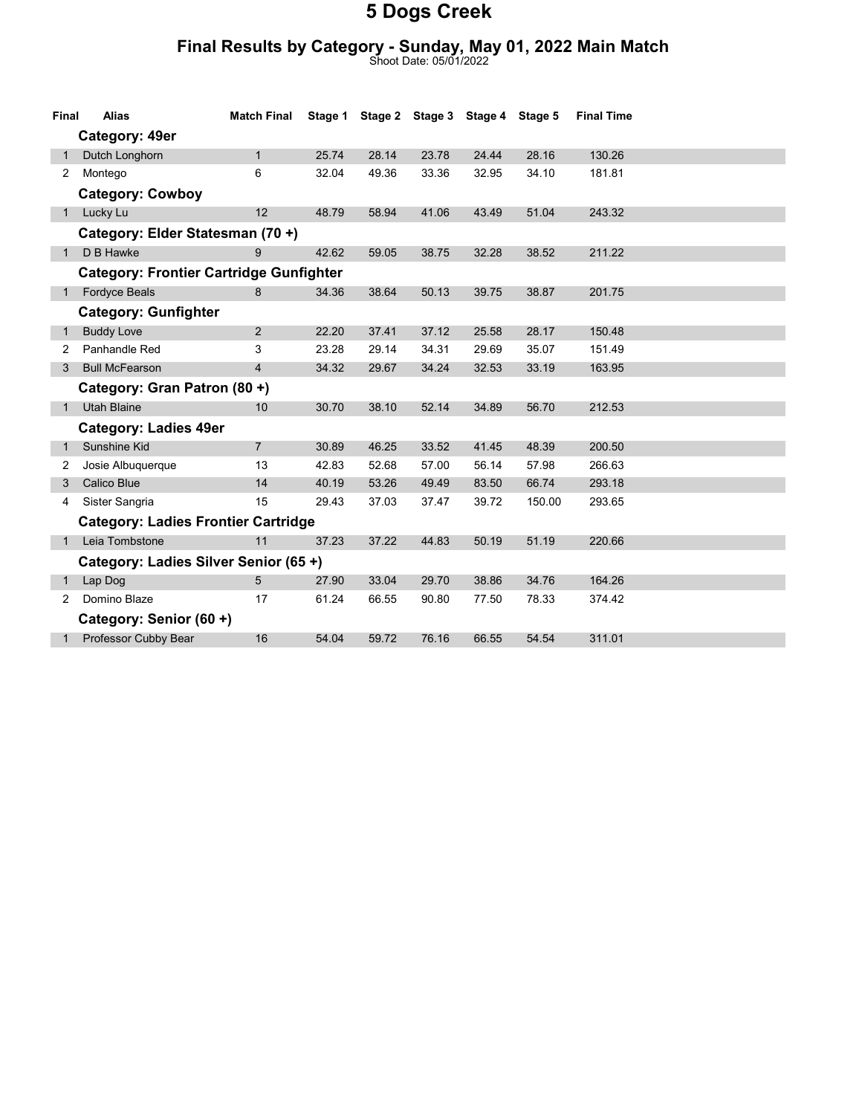#### Final Results by Category - Sunday, May 01, 2022 Main Match

Shoot Date: 05/01/2022

| Final                                | <b>Alias</b>                                   | <b>Match Final</b> |       | Stage 1 Stage 2 Stage 3 Stage 4 Stage 5 |       |       |        | <b>Final Time</b> |  |
|--------------------------------------|------------------------------------------------|--------------------|-------|-----------------------------------------|-------|-------|--------|-------------------|--|
|                                      | Category: 49er                                 |                    |       |                                         |       |       |        |                   |  |
| 1                                    | Dutch Longhorn                                 | $\mathbf{1}$       | 25.74 | 28.14                                   | 23.78 | 24.44 | 28.16  | 130.26            |  |
| $\overline{2}$                       | Montego                                        | 6                  | 32.04 | 49.36                                   | 33.36 | 32.95 | 34.10  | 181.81            |  |
|                                      | <b>Category: Cowboy</b>                        |                    |       |                                         |       |       |        |                   |  |
| 1                                    | Lucky Lu                                       | 12                 | 48.79 | 58.94                                   | 41.06 | 43.49 | 51.04  | 243.32            |  |
|                                      | Category: Elder Statesman (70+)                |                    |       |                                         |       |       |        |                   |  |
| 1                                    | D B Hawke                                      | 9                  | 42.62 | 59.05                                   | 38.75 | 32.28 | 38.52  | 211.22            |  |
|                                      | <b>Category: Frontier Cartridge Gunfighter</b> |                    |       |                                         |       |       |        |                   |  |
| 1                                    | <b>Fordyce Beals</b>                           | 8                  | 34.36 | 38.64                                   | 50.13 | 39.75 | 38.87  | 201.75            |  |
|                                      | <b>Category: Gunfighter</b>                    |                    |       |                                         |       |       |        |                   |  |
| 1                                    | <b>Buddy Love</b>                              | $\overline{2}$     | 22.20 | 37.41                                   | 37.12 | 25.58 | 28.17  | 150.48            |  |
| 2                                    | Panhandle Red                                  | 3                  | 23.28 | 29.14                                   | 34.31 | 29.69 | 35.07  | 151.49            |  |
| 3                                    | <b>Bull McFearson</b>                          | 4                  | 34.32 | 29.67                                   | 34.24 | 32.53 | 33.19  | 163.95            |  |
|                                      | Category: Gran Patron (80 +)                   |                    |       |                                         |       |       |        |                   |  |
| 1                                    | <b>Utah Blaine</b>                             | 10                 | 30.70 | 38.10                                   | 52.14 | 34.89 | 56.70  | 212.53            |  |
|                                      | <b>Category: Ladies 49er</b>                   |                    |       |                                         |       |       |        |                   |  |
| 1                                    | Sunshine Kid                                   | $\overline{7}$     | 30.89 | 46.25                                   | 33.52 | 41.45 | 48.39  | 200.50            |  |
| 2                                    | Josie Albuquerque                              | 13                 | 42.83 | 52.68                                   | 57.00 | 56.14 | 57.98  | 266.63            |  |
| 3                                    | Calico Blue                                    | 14                 | 40.19 | 53.26                                   | 49.49 | 83.50 | 66.74  | 293.18            |  |
| 4                                    | Sister Sangria                                 | 15                 | 29.43 | 37.03                                   | 37.47 | 39.72 | 150.00 | 293.65            |  |
|                                      | <b>Category: Ladies Frontier Cartridge</b>     |                    |       |                                         |       |       |        |                   |  |
| 1                                    | Leia Tombstone                                 | 11                 | 37.23 | 37.22                                   | 44.83 | 50.19 | 51.19  | 220.66            |  |
| Category: Ladies Silver Senior (65+) |                                                |                    |       |                                         |       |       |        |                   |  |
| 1                                    | Lap Dog                                        | 5                  | 27.90 | 33.04                                   | 29.70 | 38.86 | 34.76  | 164.26            |  |
| 2                                    | Domino Blaze                                   | 17                 | 61.24 | 66.55                                   | 90.80 | 77.50 | 78.33  | 374.42            |  |
|                                      | Category: Senior (60 +)                        |                    |       |                                         |       |       |        |                   |  |
|                                      | Professor Cubby Bear                           | 16                 | 54.04 | 59.72                                   | 76.16 | 66.55 | 54.54  | 311.01            |  |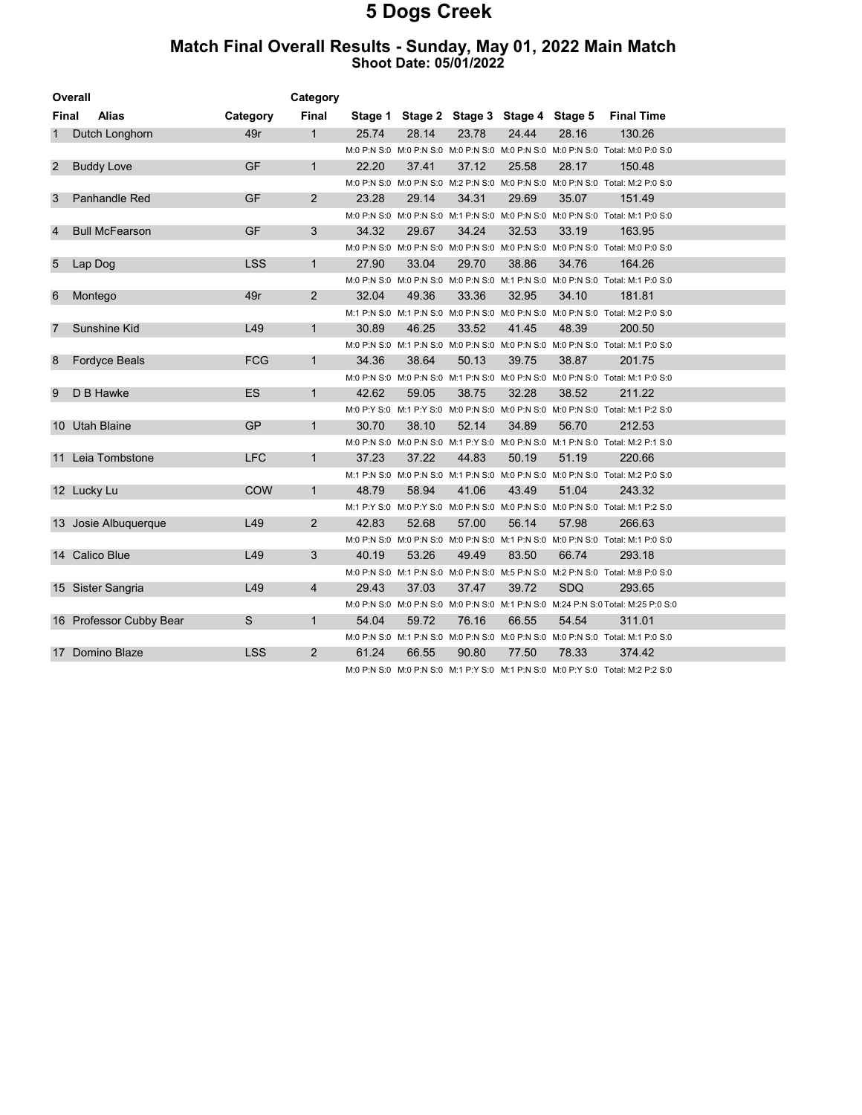#### Match Final Overall Results - Sunday, May 01, 2022 Main Match Shoot Date: 05/01/2022

| Overall                 |                         |            | Category              |         |       |       |                                 |            |                                                                                            |  |
|-------------------------|-------------------------|------------|-----------------------|---------|-------|-------|---------------------------------|------------|--------------------------------------------------------------------------------------------|--|
| Final                   | <b>Alias</b>            | Category   | Final                 | Stage 1 |       |       | Stage 2 Stage 3 Stage 4 Stage 5 |            | <b>Final Time</b>                                                                          |  |
| $\mathbf 1$             | Dutch Longhorn          | 49r        | $\mathbf{1}$          | 25.74   | 28.14 | 23.78 | 24.44                           | 28.16      | 130.26                                                                                     |  |
|                         |                         |            |                       |         |       |       |                                 |            | M:0 P:N S:0 M:0 P:N S:0 M:0 P:N S:0 M:0 P:N S:0 M:0 P:N S:0 M:0 P:N S:0 Total: M:0 P:0 S:0 |  |
| 2                       | <b>Buddy Love</b>       | <b>GF</b>  | $\mathbf{1}$          | 22.20   | 37.41 | 37.12 | 25.58                           | 28.17      | 150.48                                                                                     |  |
|                         |                         |            |                       |         |       |       |                                 |            | M:0 P:N S:0 M:0 P:N S:0 M:2 P:N S:0 M:0 P:N S:0 M:0 P:N S:0 Total: M:2 P:0 S:0             |  |
| 3                       | Panhandle Red           | <b>GF</b>  | $\overline{2}$        | 23.28   | 29.14 | 34.31 | 29.69                           | 35.07      | 151.49                                                                                     |  |
|                         |                         |            |                       |         |       |       |                                 |            | M:0 P:N S:0 M:0 P:N S:0 M:1 P:N S:0 M:0 P:N S:0 M:0 P:N S:0 Total: M:1 P:0 S:0             |  |
| $\overline{\mathbf{4}}$ | <b>Bull McFearson</b>   | <b>GF</b>  | 3                     | 34.32   | 29.67 | 34.24 | 32.53                           | 33.19      | 163.95                                                                                     |  |
|                         |                         |            |                       |         |       |       |                                 |            | M:0 P:N S:0 M:0 P:N S:0 M:0 P:N S:0 M:0 P:N S:0 M:0 P:N S:0 M:0 P:N S:0 Total: M:0 P:0 S:0 |  |
| 5                       | Lap Dog                 | <b>LSS</b> | $\mathbf{1}$          | 27.90   | 33.04 | 29.70 | 38.86                           | 34.76      | 164.26                                                                                     |  |
|                         |                         |            |                       |         |       |       |                                 |            | M:0 P:N S:0 M:0 P:N S:0 M:0 P:N S:0 M:1 P:N S:0 M:0 P:N S:0 Total: M:1 P:0 S:0             |  |
| 6                       | Montego                 | 49r        | $\mathbf{2}^{\prime}$ | 32.04   | 49.36 | 33.36 | 32.95                           | 34.10      | 181.81                                                                                     |  |
|                         |                         |            |                       |         |       |       |                                 |            | M:1 P:N S:0 M:1 P:N S:0 M:0 P:N S:0 M:0 P:N S:0 M:0 P:N S:0 Total: M:2 P:0 S:0             |  |
|                         | Sunshine Kid            | L49        | $\mathbf{1}$          | 30.89   | 46.25 | 33.52 | 41.45                           | 48.39      | 200.50                                                                                     |  |
|                         |                         |            |                       |         |       |       |                                 |            | M:0 P:N S:0 M:1 P:N S:0 M:0 P:N S:0 M:0 P:N S:0 M:0 P:N S:0 Total: M:1 P:0 S:0             |  |
| 8                       | <b>Fordyce Beals</b>    | <b>FCG</b> | $\mathbf{1}$          | 34.36   | 38.64 | 50.13 | 39.75                           | 38.87      | 201.75                                                                                     |  |
|                         |                         |            |                       |         |       |       |                                 |            | M:0 P:N S:0 M:0 P:N S:0 M:1 P:N S:0 M:0 P:N S:0 M:0 P:N S:0 Total: M:1 P:0 S:0             |  |
| 9                       | D B Hawke               | <b>ES</b>  | $\mathbf{1}$          | 42.62   | 59.05 | 38.75 | 32.28                           | 38.52      | 211.22                                                                                     |  |
|                         |                         |            |                       |         |       |       |                                 |            | M:0 P:Y S:0 M:1 P:Y S:0 M:0 P:N S:0 M:0 P:N S:0 M:0 P:N S:0 Total: M:1 P:2 S:0             |  |
|                         | 10 Utah Blaine          | GP         | $\mathbf{1}$          | 30.70   | 38.10 | 52.14 | 34.89                           | 56.70      | 212.53                                                                                     |  |
|                         |                         |            |                       |         |       |       |                                 |            | M:0 P:N S:0 M:0 P:N S:0 M:1 P:Y S:0 M:0 P:N S:0 M:1 P:N S:0 Total: M:2 P:1 S:0             |  |
|                         | 11 Leia Tombstone       | <b>LFC</b> | $\mathbf{1}$          | 37.23   | 37.22 | 44.83 | 50.19                           | 51.19      | 220.66                                                                                     |  |
|                         |                         |            |                       |         |       |       |                                 |            | M:1 P:N S:0 M:0 P:N S:0 M:1 P:N S:0 M:0 P:N S:0 M:0 P:N S:0 Total: M:2 P:0 S:0             |  |
|                         | 12 Lucky Lu             | <b>COW</b> | $\mathbf{1}$          | 48.79   | 58.94 | 41.06 | 43.49                           | 51.04      | 243.32                                                                                     |  |
|                         |                         |            |                       |         |       |       |                                 |            | M:1 P:Y S:0 M:0 P:Y S:0 M:0 P:N S:0 M:0 P:N S:0 M:0 P:N S:0 Total: M:1 P:2 S:0             |  |
|                         | 13 Josie Albuquerque    | L49        | 2                     | 42.83   | 52.68 | 57.00 | 56.14                           | 57.98      | 266.63                                                                                     |  |
|                         |                         |            |                       |         |       |       |                                 |            | M:0 P:N S:0 M:0 P:N S:0 M:0 P:N S:0 M:1 P:N S:0 M:0 P:N S:0 Total: M:1 P:0 S:0             |  |
|                         | 14 Calico Blue          | L49        | 3                     | 40.19   | 53.26 | 49.49 | 83.50                           | 66.74      | 293.18                                                                                     |  |
|                         |                         |            |                       |         |       |       |                                 |            | M:0 P:N S:0 M:1 P:N S:0 M:0 P:N S:0 M:5 P:N S:0 M:2 P:N S:0 Total: M:8 P:0 S:0             |  |
|                         | 15 Sister Sangria       | L49        | 4                     | 29.43   | 37.03 | 37.47 | 39.72                           | <b>SDQ</b> | 293.65                                                                                     |  |
|                         |                         |            |                       |         |       |       |                                 |            | M:0 P:N S:0 M:0 P:N S:0 M:0 P:N S:0 M:1 P:N S:0 M:24 P:N S:0 Total: M:25 P:0 S:0           |  |
|                         | 16 Professor Cubby Bear | S          | $\mathbf{1}$          | 54.04   | 59.72 | 76.16 | 66.55                           | 54.54      | 311.01                                                                                     |  |
|                         |                         |            |                       |         |       |       |                                 |            | M:0 P:N S:0 M:1 P:N S:0 M:0 P:N S:0 M:0 P:N S:0 M:0 P:N S:0 Total: M:1 P:0 S:0             |  |
|                         | 17 Domino Blaze         | <b>LSS</b> | $\overline{2}$        | 61.24   | 66.55 | 90.80 | 77.50                           | 78.33      | 374.42                                                                                     |  |
|                         |                         |            |                       |         |       |       |                                 |            | M:0 P:N S:0 M:0 P:N S:0 M:1 P:Y S:0 M:1 P:N S:0 M:0 P:Y S:0 Total: M:2 P:2 S:0             |  |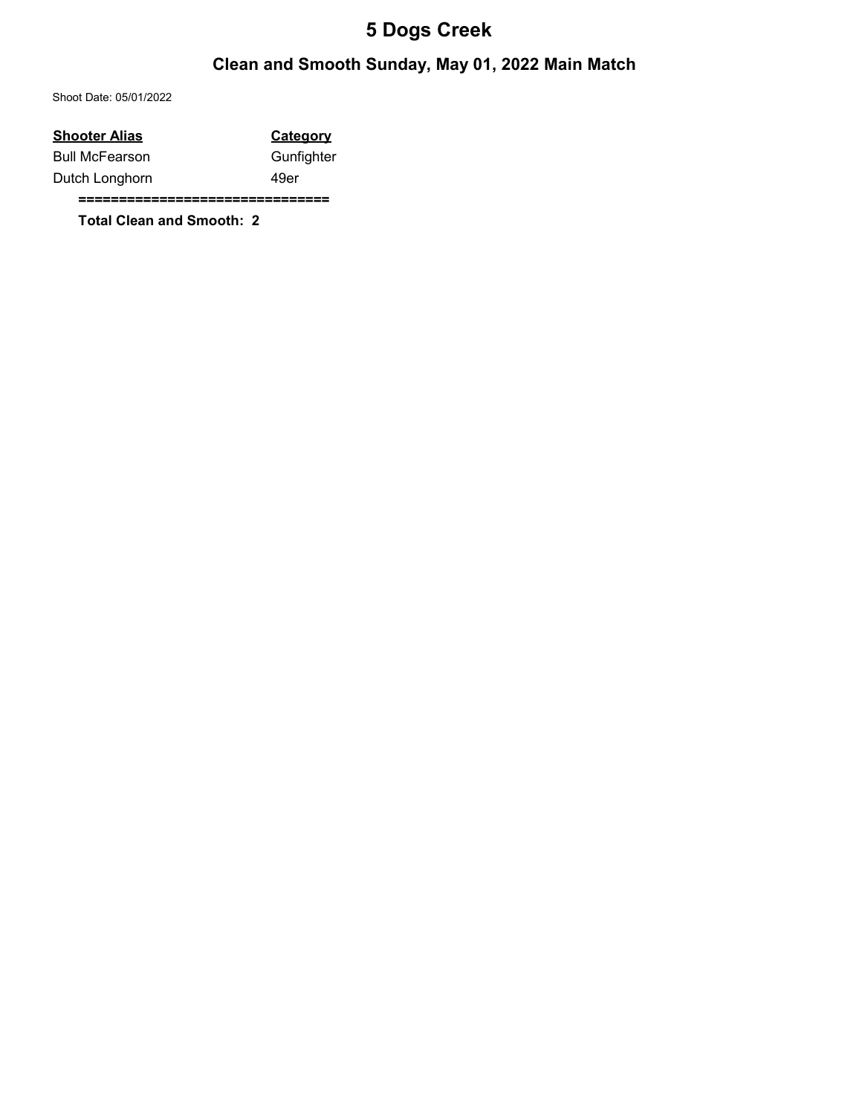### Clean and Smooth Sunday, May 01, 2022 Main Match

Shoot Date: 05/01/2022

| <b>Shooter Alias</b>  | <b>Category</b> |
|-----------------------|-----------------|
| <b>Bull McFearson</b> | Gunfighter      |
| Dutch Longhorn        | 49er            |
|                       |                 |

Total Clean and Smooth: 2